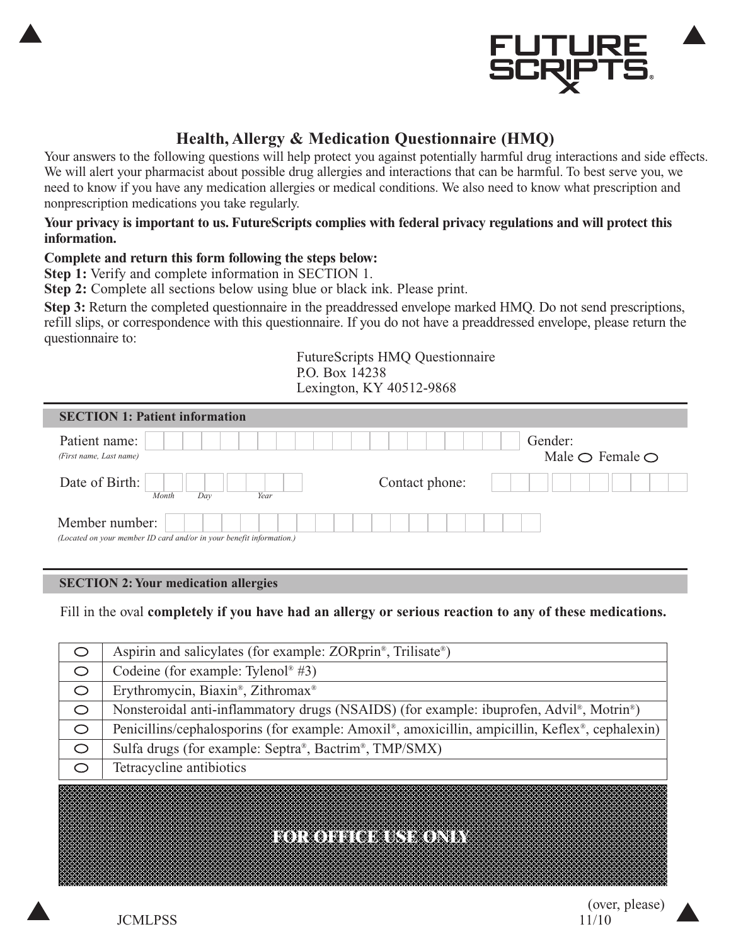

### **Health, Allergy & Medication Questionnaire (HMQ)**

Your answers to the following questions will help protect you against potentially harmful drug interactions and side effects. We will alert your pharmacist about possible drug allergies and interactions that can be harmful. To best serve you, we need to know if you have any medication allergies or medical conditions. We also need to know what prescription and nonprescription medications you take regularly.

#### **Your privacy is important to us. FutureScripts complies with federal privacy regulations and will protect this information.**

### **Complete and return this form following the steps below:**

**Step 1:** Verify and complete information in SECTION 1.

**Step 2:** Complete all sections below using blue or black ink. Please print.

**Step 3:** Return the completed questionnaire in the preaddressed envelope marked HMQ. Do not send prescriptions, refill slips, or correspondence with this questionnaire. If you do not have a preaddressed envelope, please return the questionnaire to:

> FutureScripts HMQ Questionnaire P.O. Box 14238 Lexington, KY 40512-9868

| <b>SECTION 1: Patient information</b>                                                  |                |                                              |
|----------------------------------------------------------------------------------------|----------------|----------------------------------------------|
| Patient name:<br>(First name, Last name)                                               |                | Gender:<br>Male $\bigcirc$ Female $\bigcirc$ |
| Date of Birth:<br>Day<br>Year<br>Month                                                 | Contact phone: |                                              |
| Member number:<br>(Located on your member ID card and/or in your benefit information.) |                |                                              |

#### **SECTION 2: Your medication allergies**

Fill in the oval **completely if you have had an allergy or serious reaction to any of these medications.**

|         | Aspirin and salicylates (for example: ZORprin <sup>®</sup> , Trilisate <sup>®</sup> )                             |
|---------|-------------------------------------------------------------------------------------------------------------------|
| O       | Codeine (for example: Tylenol <sup>®</sup> #3)                                                                    |
| $\circ$ | Erythromycin, Biaxin®, Zithromax®                                                                                 |
| $\circ$ | Nonsteroidal anti-inflammatory drugs (NSAIDS) (for example: ibuprofen, Advil <sup>®</sup> , Motrin <sup>®</sup> ) |
| O       | Penicillins/cephalosporins (for example: Amoxil®, amoxicillin, ampicillin, Keflex®, cephalexin)                   |
| $\circ$ | Sulfa drugs (for example: Septra®, Bactrim®, TMP/SMX)                                                             |
| ◯       | Tetracycline antibiotics                                                                                          |
|         |                                                                                                                   |
|         |                                                                                                                   |

### **FOR OFFICE USE ONLY**